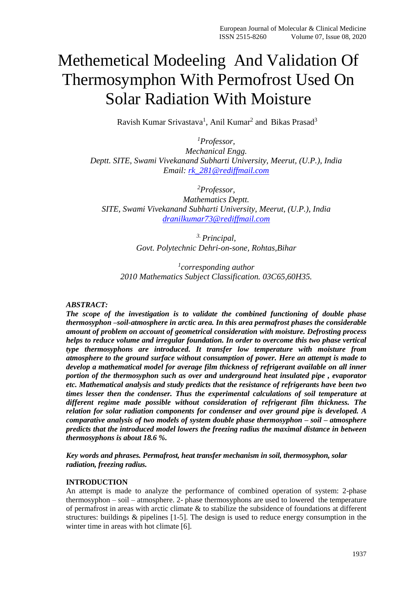# Methemetical Modeeling And Validation Of Thermosymphon With Permofrost Used On Solar Radiation With Moisture

Ravish Kumar Srivastava<sup>1</sup>, Anil Kumar<sup>2</sup> and Bikas Prasad<sup>3</sup>

*<sup>1</sup>Professor, Mechanical Engg. Deptt. SITE, Swami Vivekanand Subharti University, Meerut, (U.P.), India Email: [rk\\_281@rediffmail.com](mailto:rk_281@rediffmail.com)*

*<sup>2</sup>Professor,*

*Mathematics Deptt. SITE, Swami Vivekanand Subharti University, Meerut, (U.P.), India [dranilkumar73@rediffmail.com](mailto:dranilkumar73@rediffmail.com)*

> *3. Principal, Govt. Polytechnic Dehri-on-sone, Rohtas,Bihar*

*1 corresponding author 2010 Mathematics Subject Classification. 03C65,60H35.*

#### *ABSTRACT:*

*The scope of the investigation is to validate the combined functioning of double phase thermosyphon –soil-atmosphere in arctic area. In this area permafrost phases the considerable amount of problem on account of geometrical consideration with moisture. Defrosting process helps to reduce volume and irregular foundation. In order to overcome this two phase vertical type thermosyphons are introduced. It transfer low temperature with moisture from atmosphere to the ground surface without consumption of power. Here an attempt is made to develop a mathematical model for average film thickness of refrigerant available on all inner portion of the thermosyphon such as over and underground heat insulated pipe , evaporator etc. Mathematical analysis and study predicts that the resistance of refrigerants have been two times lesser then the condenser. Thus the experimental calculations of soil temperature at different regime made possible without consideration of refrigerant film thickness. The relation for solar radiation components for condenser and over ground pipe is developed. A comparative analysis of two models of system double phase thermosyphon – soil – atmosphere predicts that the introduced model lowers the freezing radius the maximal distance in between thermosyphons is about 18.6 %.*

*Key words and phrases. Permafrost, heat transfer mechanism in soil, thermosyphon, solar radiation, freezing radius.*

#### **INTRODUCTION**

An attempt is made to analyze the performance of combined operation of system: 2-phase thermosyphon – soil – atmosphere. 2- phase thermosyphons are used to lowered the temperature of permafrost in areas with arctic climate & to stabilize the subsidence of foundations at different structures: buildings & pipelines [1-5]. The design is used to reduce energy consumption in the winter time in areas with hot climate [6].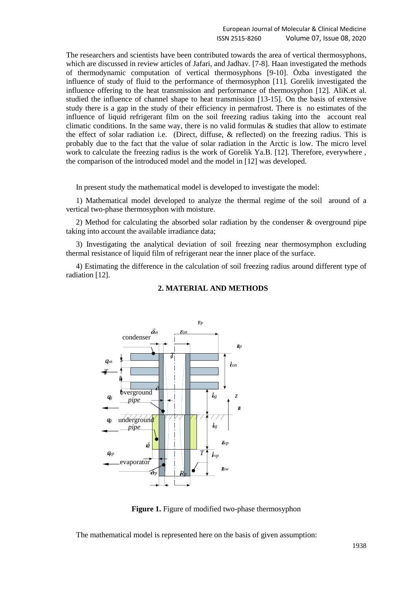The researchers and scientists have been contributed towards the area of vertical thermosyphons, which are discussed in review articles of Jafari, and Jadhav. [7-8]. Haan investigated the methods of thermodynamic computation of vertical thermosyphons [9-10]. Özba investigated the influence of study of fluid to the performance of thermosyphon [11]. Gorelik investigated the influence offering to the heat transmission and performance of thermosyphon [12]. AliK.et al. studied the influence of channel shape to heat transmission [13-15]. On the basis of extensive study there is a gap in the study of their efficiency in permafrost. There is no estimates of the influence of liquid refrigerant film on the soil freezing radius taking into the account real climatic conditions. In the same way, there is no valid formulas  $\&$  studies that allow to estimate the effect of solar radiation i.e. (Direct, diffuse, & reflected) on the freezing radius. This is probably due to the fact that the value of solar radiation in the Arctic is low. The micro level work to calculate the freezing radius is the work of Gorelik Ya.B. [12]. Therefore, everywhere , the comparison of the introduced model and the model in [12] was developed.

In present study the mathematical model is developed to investigate the model:

1) Mathematical model developed to analyze the thermal regime of the soil around of a vertical two-phase thermosyphon with moisture.

2) Method for calculating the absorbed solar radiation by the condenser & overground pipe taking into account the available irradiance data;

3) Investigating the analytical deviation of soil freezing near thermosymphon excluding thermal resistance of liquid film of refrigerant near the inner place of the surface.

4) Estimating the difference in the calculation of soil freezing radius around different type of radiation [12].



#### **2. MATERIAL AND METHODS**

**Figure 1.** Figure of modified two-phase thermosyphon

The mathematical model is represented here on the basis of given assumption: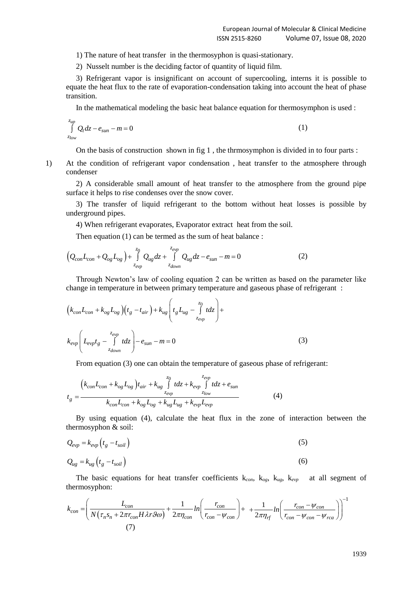1) The nature of heat transfer in the thermosyphon is quasi-stationary.

2) Nusselt number is the deciding factor of quantity of liquid film.

*z*

3) Refrigerant vapor is insignificant on account of supercooling, interns it is possible to equate the heat flux to the rate of evaporation-condensation taking into account the heat of phase transition.

In the mathematical modeling the basic heat balance equation for thermosymphon is used :

$$
\int_{z_{low}}^{z_{up}} Q_t dz - e_{sun} - m = 0
$$
\n(1)

On the basis of construction shown in fig  $1$ , the thrmosymphon is divided in to four parts :

1) At the condition of refrigerant vapor condensation , heat transfer to the atmosphere through condenser

2) A considerable small amount of heat transfer to the atmosphere from the ground pipe surface it helps to rise condenses over the snow cover.

3) The transfer of liquid refrigerant to the bottom without heat losses is possible by underground pipes.

4) When refrigerant evaporates, Evaporator extract heat from the soil.

Then equation (1) can be termed as the sum of heat balance :  
\n
$$
\left(Q_{con}L_{con}+Q_{og}L_{og}\right)+\int_{z_{evp}}^{z_0}Q_{ug}dz+\int_{z_{down}}^{z_{evp}}Q_{ug}dz-e_{sun}-m=0
$$
\n(2)

Through Newton's law of cooling equation 2 can be written as based on the parameter like

change in temperature in between primary temperature and gaseous phase of refrigerator:  
\n
$$
(k_{con}L_{con} + k_{og}L_{og})(t_g - t_{air}) + k_{ug}\left(t_gL_{ug} - \int_{z_{evp}}^{z_0} t dz\right) +
$$
\n
$$
k_{evp}\left(L_{evp}t_g - \int_{z_{down}}^{z_{evp}} t dz\right) - e_{sun} - m = 0
$$
\n(3)

From equation (3) one can obtain the temperature of gaseous phase of refrigerator:  
\n
$$
t_{\rm g} = \frac{\left(k_{\rm con}L_{\rm con} + k_{\rm og}L_{\rm og}\right) t_{\rm air} + k_{\rm ug}\int_{z_{\rm exp}}^{z_0} t dz + k_{\rm exp}\int_{z_{\rm low}}^{z_{\rm exp}} t dz + e_{\rm sun}}{k_{\rm con}L_{\rm con} + k_{\rm og}L_{\rm og} + k_{\rm ug}L_{\rm ug} + k_{\rm exp}L_{\rm exp}}
$$
\n(4)

By using equation (4), calculate the heat flux in the zone of interaction between the thermosyphon & soil:

$$
Q_{evp} = k_{evp} \left( t_g - t_{soil} \right)
$$
\n
$$
Q_{ug} = k_{ug} \left( t_g - t_{soil} \right)
$$
\n(6)

The basic equations for heat transfer coefficients k*con*, k*og*, k*ug*, k*evp* at all segment of thermosyphon:

thermosyphon:  
\n
$$
k_{con} = \left(\frac{L_{con}}{N(\tau_n s_n + 2\pi r_{con} H \lambda r \theta \omega)} + \frac{1}{2\pi \eta_{con}} ln\left(\frac{r_{con}}{r_{con} - \psi_{con}}\right) + \frac{1}{2\pi \eta_{rf}} ln\left(\frac{r_{con} - \psi_{con}}{r_{con} - \psi_{con} - \psi_{rea}}\right)\right)^{-1}
$$
\n(7)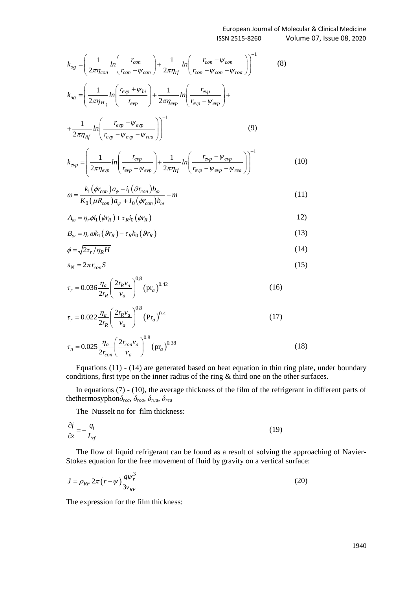$$
k_{\text{vz}} = \left(\frac{1}{2\pi\eta_{\text{cow}}} \ln\left(\frac{r_{\text{cow}}}{r_{\text{cow}} - \psi_{\text{cow}}}\right) + \frac{1}{2\pi\eta_{rf}} \ln\left(\frac{r_{\text{cow}} - \psi_{\text{cow}}}{r_{\text{cow}} - \psi_{\text{cow}}}\right)^{-1}
$$
(8)  
\n
$$
k_{\text{vz}} = \left(\frac{1}{2\pi\eta_{1i}} \ln\left(\frac{r_{\text{cyc}} + \psi_{\text{fw}}}{r_{\text{cyc}}}\right) + \frac{1}{2\pi\eta_{\text{cyc}}} \ln\left(\frac{r_{\text{cyc}}}{r_{\text{cyc}} - \psi_{\text{cow}}}\right)^{-1}
$$
(9)  
\n
$$
k_{\text{vz}} = \left(\frac{1}{2\pi\eta_{1i}} \ln\left(\frac{r_{\text{cyc}} - \psi_{\text{cyc}}}{r_{\text{cyc}} - \psi_{\text{cyc}}}\right)\right)^{-1}
$$
(9)  
\n
$$
k_{\text{cyc}} = \left(\frac{1}{2\pi\eta_{\text{cyc}}} \ln\left(\frac{r_{\text{cyc}} - \psi_{\text{cyc}}}{r_{\text{cyc}}} - \psi_{\text{cyc}}\right) + \frac{1}{2\pi\eta_{rf}} \ln\left(\frac{r_{\text{cyc}} - \psi_{\text{cyc}}}{r_{\text{cyc}} - \psi_{\text{cyc}} - \psi_{\text{cyc}}}\right)^{-1}
$$
(10)  
\n
$$
\omega = \frac{k_1(\phi_{\text{cow}}) \alpha_\phi - i_1(\mathcal{G}_{\text{cow}}) b_\omega - m}{K_0(\mu R_{\text{cav}}) \alpha_\phi + i_0(\phi_{\text{cav}}) b_\omega - m}
$$
(11)  
\n
$$
\omega = \frac{k_1(\phi_{\text{cow}}) \alpha_\phi - i_1(\mathcal{G}_{\text{cow}}) b_\omega}{2r_{\text{cov}}} (5\pi_\phi)
$$
(12)  
\n
$$
\sigma_\phi = \sqrt{2\tau_r / \eta_R H}
$$
(14)  
\n
$$
s_\phi = 2\pi r_{\text{cow}} S
$$
(15)  
\n<math display="block</math>

$$
+\frac{1}{2\pi\eta_{Rf}}\ln\left(\frac{e_{vp} + e_{vp}}{r_{evp} - \psi_{evp} - \psi_{rua}}\right)\right)
$$

$$
k_{evp} = \left(\frac{1}{2\pi\eta_{evp}}ln\left(\frac{r_{evp}}{r_{evp}-\psi_{evp}}\right) + \frac{1}{2\pi\eta_{rf}}ln\left(\frac{r_{evp}-\psi_{evp}}{r_{evp}-\psi_{evp}-\psi_{rev}}\right)\right)^{-1}
$$
(10)

$$
\omega = \frac{k_1(\phi r_{con})a_{\phi} - i_1(\mathcal{F}_{con})b_{\omega}}{K_0(\mu R_{con})a_{\psi} + I_0(\phi r_{con})b_{\omega}} - m
$$
\n(11)

$$
A_{\omega} = \eta_r \phi i_1 (\phi r_R) + \tau_R i_0 (\phi r_R)
$$
 (12)

$$
B_{\omega} = \eta_r \omega k_1 \left( \mathcal{G}r_R \right) - \tau_R k_0 \left( \mathcal{G}r_R \right) \tag{13}
$$

$$
\phi = \sqrt{2\tau_r/\eta_R H} \tag{14}
$$

$$
s_N = 2\pi r_{con} S \tag{15}
$$

$$
\tau_r = 0.036 \frac{\eta_a}{2r_R} \left(\frac{2r_R v_a}{v_a}\right)^{0.8} \left(\text{pr}_a\right)^{0.42} \tag{16}
$$

$$
\tau_r = 0.022 \frac{\eta_a}{2r_R} \left(\frac{2r_R v_a}{v_a}\right)^{0.8} (\text{Pr}_a)^{0.4} \tag{17}
$$

$$
\tau_n = 0.025 \frac{\eta_a}{2r_{con}} \left(\frac{2r_{con}v_a}{v_a}\right)^{0.8} (\text{pr}_a)^{0.38} \tag{18}
$$

Equations (11) - (14) are generated based on heat equation in thin ring plate, under boundary conditions, first type on the inner radius of the ring & third one on the other surfaces.

In equations (7) - (10), the average thickness of the film of the refrigerant in different parts of thethermosyphon*δrca*, *δroa*, *δrua*, *δrea*

The Nusselt no for film thickness:

$$
\frac{\partial j}{\partial z} = -\frac{q_t}{L_{rf}}\tag{19}
$$

The flow of liquid refrigerant can be found as a result of solving the approaching of Navier-Stokes equation for the free movement of fluid by gravity on a vertical surface:

$$
J = \rho_{RF} 2\pi \left( r - \psi \right) \frac{g \psi_r^3}{3v_{RF}} \tag{20}
$$

The expression for the film thickness: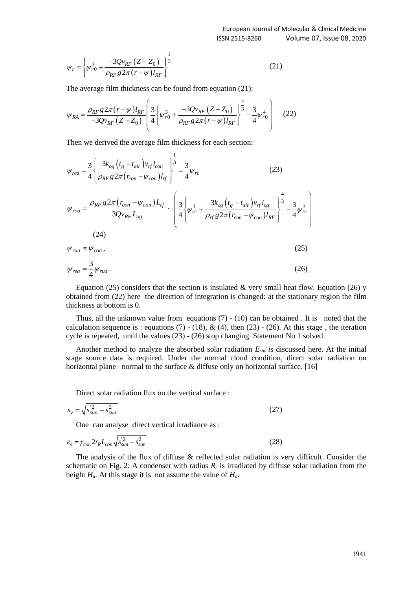$$
\psi_r = \left\{ \psi_{r0}^3 + \frac{-3Qv_{RF}(Z - Z_0)}{\rho_{RF} g 2\pi (r - \psi) l_{RF}} \right\}^{\frac{1}{3}}
$$
(21)

The average film thickness can be found from equation (21):  
\n
$$
\psi_{RA} = \frac{\rho_{RF} g 2\pi (r - \psi) l_{RF}}{-3Qv_{RF} (Z - Z_0)} \left( \frac{3}{4} \left( \psi_{r0}^3 + \frac{-3Qv_{RF} (Z - Z_0)}{\rho_{RF} g 2\pi (r - \psi) l_{RF}} \right)^{\frac{4}{3}} - \frac{3}{4} \psi_{r0}^4 \right)
$$
\n(22)

Then we derived the average film thickness for each section:

$$
\psi_r = \left\{\psi_{r,0}^2 + \frac{-3Qv_{RF}(Z - Z_0)}{\rho_{RF} g 2\pi (r - \psi)l_{RF}}\right\}^{\text{3}}
$$
\n(21)  
\nThe average film thickness can be found from equation (2):  
\n
$$
\psi_{RA} = \frac{\rho_{RF} g 2\pi (r - \psi)l_{RF}}{-3Qv_{RF}} \left( \frac{3}{2} \left[ \psi_{r,0}^2 + \frac{-3Qv_{RF}(Z - Z_0)}{\rho_{RF} g 2\pi (r - \psi)l_{RF}} \right]^\frac{4}{3} - \frac{3}{4} \psi_{r,0}^4 \right]^{\text{4}}
$$
\n(22)  
\nThen we derived the average film thickness for each section:  
\n
$$
\psi_{rca} = \frac{3}{4} \left[ \frac{3k_{ox}(t_z - t_{as})v_{rf}l_{con}}{\rho_{RF} g 2\pi (r_{con} - \psi_{con})l_{rf}} \right]^\frac{1}{3} - \frac{3}{4} \psi_r, \qquad (23)
$$
\n
$$
\psi_{rca} = \frac{\rho_{RF} g 2\pi (r_{con} - \psi_{con})l_{rf}}{3Qv_{RF}l_{reg}} \cdot \left( \frac{3}{4} \left[ \psi_{re}^2 + \frac{3k_{ox}(t_z - t_{as})v_{rf}l_{og}}{\rho_{f} g 2\pi (r_{con} - \psi_{con})l_{RF}} \right]^\frac{4}{3} - \frac{3}{4} \psi_{re}^4 \right)
$$
\n(24)  
\n
$$
\psi_{rca} = \frac{3}{4} \psi_{rca}, \qquad (25)
$$
\nEquation (25) considers that the section is insulated & very small heat flow. Equation (26) by  
\nobtained from (22) here the direction of integration is changed: at the stationary region the film  
\nequation (27) here is: equations (7) - (10) can be obtained. It is noted that the  
\ncalculation sequence is: equations (7) - (10) can be obtained. It is noted that the  
\ncalculation sequence is (3) - (26) stop changing. Statement No 1 solved.  
\nThus, all the unknown value from equations (7) - (10) can be obtained. It is noted.  
\nThus, all the unknown value from equations (7) - (10) can be obtained. If the initial value (24) is  
\nthe direction of the surface of the flux of the system is 0.1 solved.  
\nAnother method to

 $W_{rua} \approx W_{roa}$ ,  $\approx \psi_{roa},$  (25)

$$
\psi_{rea} = \frac{3}{4} \psi_{rua} \,. \tag{26}
$$

Equation (25) considers that the section is insulated  $\&$  very small heat flow. Equation (26) y obtained from (22) here the direction of integration is changed: at the stationary region the film thickness at bottom is 0.

Thus, all the unknown value from equations  $(7)$  -  $(10)$  can be obtained. It is noted that the calculation sequence is : equations (7) - (18), & (4), then (23) - (26). At this stage, the iteration cycle is repeated, until the values (23) - (26) stop changing. Statement No 1 solved.

Another method to analyze the absorbed solar radiation *Esun i*s discussed here. At the initial stage source data is required. Under the normal cloud condition, direct solar radiation on horizontal plane normal to the surface & diffuse only on horizontal surface. [16]

Direct solar radiation flux on the vertical surface :

$$
s_v = \sqrt{s_{sun}^{'2} - s_{sun}^2}
$$
 (27)

One can analyse direct vertical irradiance as :

$$
e_s = \gamma_{con} 2r_R L_{con} \sqrt{s_{sun}^2 - s_{sun}^2}
$$
 (28)

The analysis of the flux of diffuse & reflected solar radiation is very difficult. Consider the schematic on Fig. 2: A condenser with radius  $R_r$  is irradiated by diffuse solar radiation from the height *Ha*. At this stage it is not assume the value of *Ha*.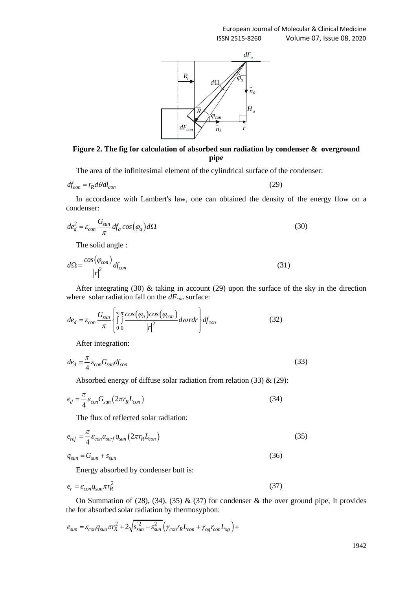

**Figure 2. The fig for calculation of absorbed sun radiation by condenser & overground pipe**

The area of the infinitesimal element of the cylindrical surface of the condenser:

$$
df_{con} = r_R d\theta dl_{con} \tag{29}
$$

In accordance with Lambert's law, one can obtained the density of the energy flow on a condenser:

$$
de_d^2 = \varepsilon_{con} \frac{G_{sun}}{\pi} df_a \cos(\varphi_a) d\Omega \tag{30}
$$

The solid angle :

$$
d\Omega = \frac{\cos(\varphi_{con})}{|r|^2} df_{con}
$$
\n(31)

After integrating (30) & taking in account (29) upon the surface of the sky in the direction

where solar radiation fall on the 
$$
dF_{con}
$$
 surface:  
\n
$$
de_d = \varepsilon_{con} \frac{G_{sun}}{\pi} \left\{ \int_{0}^{\infty} \int_{0}^{\pi} \frac{\cos(\varphi_a)\cos(\varphi_{con})}{|r|^2} d\omega \, r dr \right\} d f_{con}
$$
\n(32)

After integration:

$$
de_d = \frac{\pi}{4} \varepsilon_{con} G_{sun} df_{con}
$$
\n(33)

Absorbed energy of diffuse solar radiation from relation  $(33)$  &  $(29)$ :

$$
e_d = \frac{\pi}{4} \varepsilon_{con} G_{sun} \left( 2\pi r_R L_{con} \right) \tag{34}
$$

The flux of reflected solar radiation:

$$
e_{ref} = \frac{\pi}{4} \varepsilon_{con} a_{surf} q_{sun} (2\pi r_R L_{con})
$$
\n(35)

$$
q_{sun} = G_{sun} + s_{sun} \tag{36}
$$

Energy absorbed by condenser butt is:

$$
e_r = \varepsilon_{con} q_{sun} \pi r_R^2 \tag{37}
$$

On Summation of (28), (34), (35)  $\&$  (37) for condenser  $\&$  the over ground pipe, It provides

the for absorbed solar radiation by thermosyphon:  
\n
$$
e_{sun} = \varepsilon_{con} q_{sun} \pi r_R^2 + 2\sqrt{s_{sun}^2 - s_{sun}^2} \left( \gamma_{con} r_R L_{con} + \gamma_{og} r_{con} L_{og} \right) +
$$

1942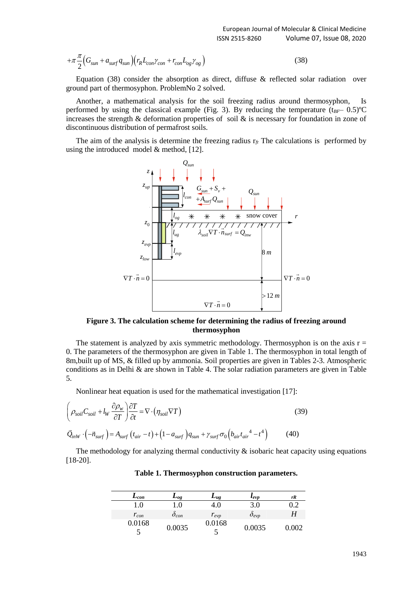$$
+\pi\frac{\pi}{2}\Big(G_{sum}+a_{surf}q_{sun}\Big)\Big(r_R L_{con}\gamma_{con}+r_{con}L_{og}\gamma_{og}\Big)
$$
\n(38)

Equation (38) consider the absorption as direct, diffuse  $\&$  reflected solar radiation over ground part of thermosyphon. ProblemNo 2 solved.

Another, a mathematical analysis for the soil freezing radius around thermosyphon, Is performed by using the classical example (Fig. 3). By reducing the temperature  $(t_{BF}-0.5)$ <sup>o</sup>C increases the strength & deformation properties of soil & is necessary for foundation in zone of discontinuous distribution of permafrost soils.

The aim of the analysis is determine the freezing radius  $r_f$ . The calculations is performed by using the introduced model & method, [12].



**Figure 3. The calculation scheme for determining the radius of freezing around thermosyphon**

The statement is analyzed by axis symmetric methodology. Thermosyphon is on the axis  $r =$ 0. The parameters of the thermosyphon are given in Table 1. The thermosyphon in total length of 8m,built up of MS, & filled up by ammonia. Soil properties are given in Tables 2-3. Atmospheric conditions as in Delhi & are shown in Table 4. The solar radiation parameters are given in Table 5.

Nonlinear heat equation is used for the mathematical investigation [17]:

$$
\left(\rho_{soil}C_{soil} + l_W \frac{\partial \rho_w}{\partial T}\right) \frac{\partial T}{\partial t} = \nabla \cdot (\eta_{soil} \nabla T)
$$
\n
$$
\vec{Q}_{inW} \cdot \left(-\vec{n}_{surf}\right) = A_{surf}\left(t_{air} - t\right) + \left(1 - a_{surf}\right)q_{sun} + \gamma_{surf}\sigma_0\left(b_{air}t_{air}^4 - t^4\right)
$$
\n(40)

The methodology for analyzing thermal conductivity  $\&$  isobaric heat capacity using equations [18-20].

| $\mathcal{L}_{con}$ | $\mathcal{L}_{og}$  | $L_{ug}$  | $\iota_{evp}$  | rR    |
|---------------------|---------------------|-----------|----------------|-------|
| 1.0                 | $\cdot$             | 4.0       | 3.0            | 0.2   |
| $r_{con}$           | $\mathcal{O}_{con}$ | $r_{evp}$ | $\delta_{evp}$ |       |
| 0.0168<br>÷         | 0.0035              | 0.0168    | 0.0035         | 0.002 |

#### **Table 1. Thermosyphon construction parameters.**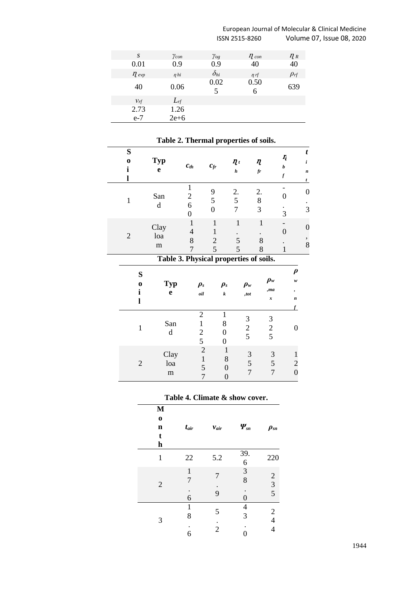#### European Journal of Molecular & Clinical Medicine Volume 07, Issue 08, 2020

| S          | $\gamma_{con}$  | $\gamma_{og}$ | $\eta$ con | $n_{R}$     |
|------------|-----------------|---------------|------------|-------------|
| 0.01       | 0.9             | 0.9           | 40         | 40          |
| $\eta$ evp | n <sub>hi</sub> | $\delta_{hi}$ | $n$ rf     | $\rho_{rf}$ |
| 40         | 0.06            | 0.02<br>5     | 0.50<br>6  | 639         |
| $v_{rf}$   | $L_{rf}$        |               |            |             |
| 2.73       | 1.26            |               |            |             |
| $e-7$      | $2e + 6$        |               |            |             |

#### **S o i l Typ e**  $c_{th}$   $c_{fr}$  $\eta_t$ *h*  $\pmb{\eta}$ *fr*  $\pmb{\eta}$ *b f t i n t* 1 San d 1 2 6 0 9 5 0 2. 5 7 2. 8 3 - 0 . 3 0 . 3 2 Clay loa m 1 4 8 7 1 1 2 5 1 . 5 5 1 . 8 8 - 0 . 1 0 , 8 **Table 3. Physical properties of soils. S o i l Typ e** *ρs oil ρs k ρw ,tot ρw ,ma x ρ w , n f* 1 San d 2 1 2 5 1 8 0 0 3 2 5 3 2 5 0 2 Clay loa m 2 1 5 7 1 8 0 0 3 5 7 3 5 7 1 2 0

## **Table 2. Thermal properties of soils.**

#### **Table 4. Climate & show cover.**

| M                       |                   |                |                               |                                            |
|-------------------------|-------------------|----------------|-------------------------------|--------------------------------------------|
| $\bf{0}$<br>$\mathbf n$ | $t_{air}$         | $v_{air}$      | $\boldsymbol{\varPsi}_{\!sn}$ | $\rho_{sn}$                                |
| t<br>$\mathbf h$        |                   |                |                               |                                            |
| $\mathbf{1}$            | 22                | 5.2            | 39.<br>6                      | 220                                        |
| $\overline{2}$          | $\mathbf{1}$<br>7 | 7              | 3<br>8                        | $\begin{array}{c} 2 \\ 3 \\ 5 \end{array}$ |
|                         | 6                 | 9              | $\boldsymbol{0}$              |                                            |
| 3                       | 1<br>8            | 5              | $\overline{4}$<br>3           | $\overline{\mathbf{c}}$<br>$\overline{4}$  |
|                         | 6                 | $\overline{2}$ | O                             | $\overline{4}$                             |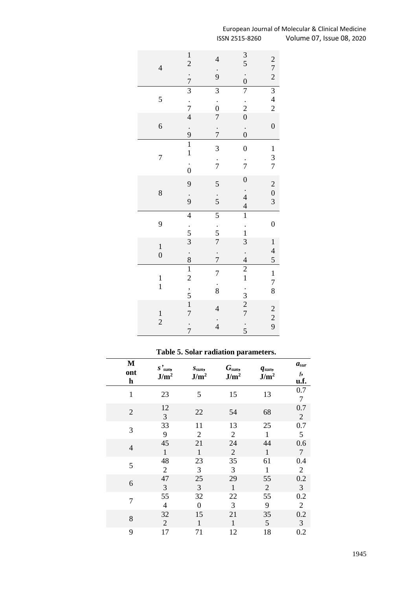| $\overline{4}$ | $\frac{1}{2}$                  | $\overline{\mathcal{L}}$ | $rac{3}{5}$      | $\begin{array}{c} 2 \\ 7 \\ 2 \end{array}$ |
|----------------|--------------------------------|--------------------------|------------------|--------------------------------------------|
|                | $\frac{7}{3}$                  | $\frac{1}{9}$            | $\dot{0}$        |                                            |
|                |                                | $\overline{3}$           | $\overline{7}$   | $\frac{3}{4}$                              |
| 5              |                                |                          |                  |                                            |
|                | $\frac{7}{4}$                  | $\frac{0}{7}$            | $\frac{1}{2}$    |                                            |
| 6              |                                |                          |                  | $\overline{0}$                             |
|                | $\frac{9}{1}$                  | $\frac{1}{7}$            | $\dot{0}$        |                                            |
|                |                                |                          |                  |                                            |
| 7              |                                | 3                        | $\overline{0}$   | $\begin{array}{c} 1 \\ 3 \\ 7 \end{array}$ |
|                | $\frac{1}{0}$                  | $\frac{1}{7}$            | $\frac{1}{7}$    |                                            |
|                |                                |                          |                  |                                            |
|                | 9                              | 5                        | $\boldsymbol{0}$ |                                            |
| 8              |                                |                          | $\frac{1}{4}$    | $\begin{array}{c} 2 \\ 0 \\ 3 \end{array}$ |
|                | $\frac{1}{9}$                  | $\frac{1}{5}$            | $\overline{4}$   |                                            |
|                | $\overline{\mathcal{L}}$       | $\overline{5}$           | $\overline{1}$   |                                            |
| 9              |                                |                          |                  | $\boldsymbol{0}$                           |
|                | $rac{1}{3}$                    | $\frac{1}{5}$            | $\frac{1}{1}$    |                                            |
| $\mathbf{1}$   |                                | $\overline{7}$           | 3                |                                            |
| $\overline{0}$ |                                | $\frac{1}{7}$            | $\frac{1}{4}$    | $\begin{array}{c} 1 \\ 4 \\ 5 \end{array}$ |
|                | $\frac{8}{1}$                  |                          |                  |                                            |
|                |                                | 7                        | $\frac{2}{1}$    | $\mathbf{1}$                               |
| $\frac{1}{1}$  |                                | $\frac{1}{8}$            |                  | $\begin{array}{c} 7 \\ 8 \end{array}$      |
|                |                                |                          |                  |                                            |
|                | $\frac{1}{5}$<br>$\frac{1}{7}$ | $\overline{\mathcal{L}}$ | $\frac{1}{2}$    |                                            |
| $\frac{1}{2}$  |                                |                          |                  | $\begin{array}{c} 2 \\ 2 \\ 9 \end{array}$ |
|                |                                |                          |                  |                                            |
|                | $\frac{1}{7}$                  | $\frac{1}{4}$            | $\frac{1}{5}$    |                                            |

### European Journal of Molecular & Clinical Medicine Volume 07, Issue 08, 2020

# **Table 5. Solar radiation parameters.**

| M<br>ont<br>$\mathbf h$ | $S'_{sum}$<br>J/m <sup>2</sup> | $S_{sun}$<br>J/m <sup>2</sup> | G <sub>sun</sub><br>J/m <sup>2</sup> | $q_{sun}$<br>J/m <sup>2</sup> | $a_{sur}$<br>$f_2$<br>u.f. |
|-------------------------|--------------------------------|-------------------------------|--------------------------------------|-------------------------------|----------------------------|
| $\mathbf{1}$            | 23                             | 5                             | 15                                   | 13                            | 0.7<br>7                   |
| $\overline{2}$          | 12<br>3                        | 22                            | 54                                   | 68                            | 0.7<br>2                   |
| 3                       | 33                             | 11                            | 13                                   | 25                            | 0.7                        |
|                         | 9                              | $\overline{2}$                | 2                                    | $\mathbf{1}$                  | 5                          |
| 4                       | 45                             | 21                            | 24                                   | 44                            | 0.6                        |
|                         | $\mathbf{1}$                   | $\mathbf{1}$                  | $\overline{2}$                       | $\mathbf{1}$                  | $\overline{7}$             |
| 5                       | 48                             | 23                            | 35                                   | 61                            | 0.4                        |
|                         | $\overline{2}$                 | 3                             | 3                                    | 1                             | $\overline{2}$             |
| 6                       | 47                             | 25                            | 29                                   | 55                            | 0.2                        |
|                         | 3                              | 3                             | $\mathbf{1}$                         | $\mathbf{2}$                  | 3                          |
| 7                       | 55                             | 32                            | 22                                   | 55                            | 0.2                        |
|                         | $\overline{4}$                 | $\overline{0}$                | 3                                    | 9                             | $\overline{2}$             |
| 8                       | 32                             | 15                            | 21                                   | 35                            | 0.2                        |
|                         | $\overline{2}$                 | 1                             | $\mathbf{1}$                         | 5                             | 3                          |
| 9                       | 17                             | 71                            | 12                                   | 18                            | 0.2                        |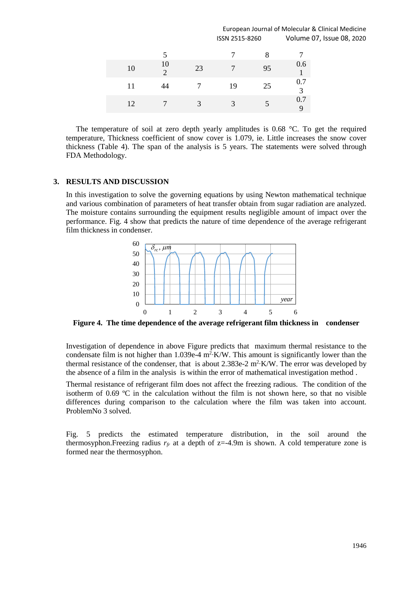#### European Journal of Molecular & Clinical Medicine ISSN 2515-8260 Volume 07, Issue 08, 2020

|    |                      |              |              | 8  |                    |
|----|----------------------|--------------|--------------|----|--------------------|
| 10 | 10<br>$\overline{2}$ | 23           |              | 95 | 0.6                |
| 11 | 44                   |              | 19           | 25 | 0.7<br>$\mathbf 3$ |
| 12 |                      | $\mathbf{R}$ | $\mathbf{R}$ |    | 0.7<br>9           |

The temperature of soil at zero depth yearly amplitudes is 0.68  $\degree$ C. To get the required temperature, Thickness coefficient of snow cover is 1.079, ie. Little increases the snow cover thickness (Table 4). The span of the analysis is 5 years. The statements were solved through FDA Methodology.

#### **3. RESULTS AND DISCUSSION**

In this investigation to solve the governing equations by using Newton mathematical technique and various combination of parameters of heat transfer obtain from sugar radiation are analyzed. The moisture contains surrounding the equipment results negligible amount of impact over the performance. Fig. 4 show that predicts the nature of time dependence of the average refrigerant film thickness in condenser.



**Figure 4. The time dependence of the average refrigerant film thickness in condenser**

Investigation of dependence in above Figure predicts that maximum thermal resistance to the condensate film is not higher than  $1.039e-4$  m<sup>2</sup>⋅K/W. This amount is significantly lower than the thermal resistance of the condenser, that is about 2.383e-2  $m^2$ -K/W. The error was developed by the absence of a film in the analysis is within the error of mathematical investigation method .

Thermal resistance of refrigerant film does not affect the freezing radious. The condition of the isotherm of 0.69 ºC in the calculation without the film is not shown here, so that no visible differences during comparison to the calculation where the film was taken into account. ProblemNo 3 solved.

Fig. 5 predicts the estimated temperature distribution, in the soil around the thermosyphon.Freezing radius  $r_f$  at a depth of  $z=4.9m$  is shown. A cold temperature zone is formed near the thermosyphon.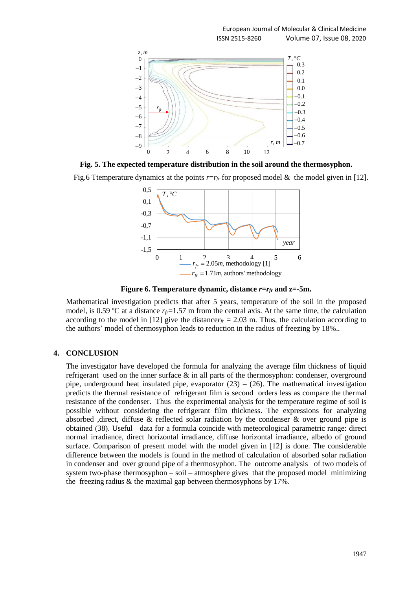

**Fig. 5. The expected temperature distribution in the soil around the thermosyphon.**

Fig.6 Ttemperature dynamics at the points *r*=*r<sub>fr</sub>* for proposed model & the model given in [12].



**Figure** 6. Temperature dynamic, distance  $r = r_f$  and  $z = 5m$ .

Mathematical investigation predicts that after 5 years, temperature of the soil in the proposed model, is 0.59 °C at a distance  $r_f=1.57$  m from the central axis. At the same time, the calculation according to the model in [12] give the distance $r_f = 2.03$  m. Thus, the calculation according to the authors' model of thermosyphon leads to reduction in the radius of freezing by 18%..

#### **4. CONCLUSION**

The investigator have developed the formula for analyzing the average film thickness of liquid refrigerant used on the inner surface  $\&$  in all parts of the thermosyphon: condenser, overground pipe, underground heat insulated pipe, evaporator  $(23) - (26)$ . The mathematical investigation predicts the thermal resistance of refrigerant film is second orders less as compare the thermal resistance of the condenser. Thus the experimental analysis for the temperature regime of soil is possible without considering the refrigerant film thickness. The expressions for analyzing absorbed ,direct, diffuse & reflected solar radiation by the condenser & over ground pipe is obtained (38). Useful data for a formula coincide with meteorological parametric range: direct normal irradiance, direct horizontal irradiance, diffuse horizontal irradiance, albedo of ground surface. Comparison of present model with the model given in [12] is done. The considerable difference between the models is found in the method of calculation of absorbed solar radiation in condenser and over ground pipe of a thermosyphon. The outcome analysis of two models of system two-phase thermosyphon – soil – atmosphere gives that the proposed model minimizing the freezing radius & the maximal gap between thermosyphons by 17%.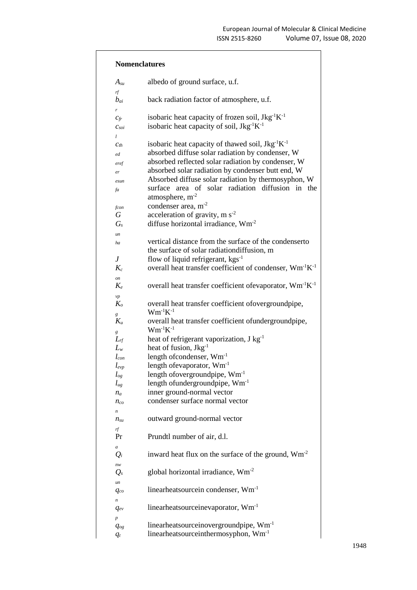| <b>Nomenclatures</b>                                                                            |                                                                                                                                                                                                                                                                                                                                                                  |  |  |
|-------------------------------------------------------------------------------------------------|------------------------------------------------------------------------------------------------------------------------------------------------------------------------------------------------------------------------------------------------------------------------------------------------------------------------------------------------------------------|--|--|
| $A_{su}$                                                                                        | albedo of ground surface, u.f.                                                                                                                                                                                                                                                                                                                                   |  |  |
| $r\!f$<br>$b_{ai}$                                                                              | back radiation factor of atmosphere, u.f.                                                                                                                                                                                                                                                                                                                        |  |  |
| r<br>$c_{fr}$<br>$c_{\text{soi}}$                                                               | isobaric heat capacity of frozen soil, Jkg <sup>-1</sup> K <sup>-1</sup><br>isobaric heat capacity of soil, $Jkg^{-1}K^{-1}$                                                                                                                                                                                                                                     |  |  |
| l<br>$c_{th}$<br>ed<br>eref<br>er<br>esun<br>fa                                                 | isobaric heat capacity of thawed soil, $Jkg^{-1}K^{-1}$<br>absorbed diffuse solar radiation by condenser, W<br>absorbed reflected solar radiation by condenser, W<br>absorbed solar radiation by condenser butt end, W<br>Absorbed diffuse solar radiation by thermosyphon, W<br>surface area of solar radiation diffusion in the<br>atmosphere, m <sup>-2</sup> |  |  |
| fcon<br>G<br>$G_s$                                                                              | condenser area, m <sup>-2</sup><br>acceleration of gravity, $m s-2$<br>diffuse horizontal irradiance, Wm <sup>-2</sup>                                                                                                                                                                                                                                           |  |  |
| un<br>ha<br>J<br>$K_c$                                                                          | vertical distance from the surface of the condenserto<br>the surface of solar radiation diffusion, m<br>flow of liquid refrigerant, $kgs^{-1}$<br>overall heat transfer coefficient of condenser, $Wm^{-1}K^{-1}$                                                                                                                                                |  |  |
| on<br>$K_e$                                                                                     | overall heat transfer coefficient of evaporator, Wm <sup>-1</sup> K <sup>-1</sup>                                                                                                                                                                                                                                                                                |  |  |
| vp<br>$K_o$<br>g<br>$K_u$                                                                       | overall heat transfer coefficient ofovergroundpipe,<br>$Wm^{-1}K^{-1}$<br>overall heat transfer coefficient of undergroundpipe,                                                                                                                                                                                                                                  |  |  |
| g<br>$L_{rf}$<br>$L_{w}$<br>$l_{con}$<br>$l_{evp}$<br>$l_{og}$<br>$l_{ug}$<br>$n_a$<br>$n_{co}$ | $Wm^{-1}K^{-1}$<br>heat of refrigerant vaporization, $J kg^{-1}$<br>heat of fusion, Jkg <sup>-1</sup><br>length of condenser, Wm <sup>-1</sup><br>length of evaporator, Wm <sup>-1</sup><br>length ofovergroundpipe, Wm <sup>-1</sup><br>length of underground pipe, $Wm^{-1}$<br>inner ground-normal vector<br>condenser surface normal vector                  |  |  |
| n<br>$n_{su}$                                                                                   | outward ground-normal vector                                                                                                                                                                                                                                                                                                                                     |  |  |
| rf<br>Pr                                                                                        | Prundtl number of air, d.l.                                                                                                                                                                                                                                                                                                                                      |  |  |
| a<br>$Q_i$                                                                                      | inward heat flux on the surface of the ground, $Wm-2$                                                                                                                                                                                                                                                                                                            |  |  |
| nw<br>$Q_{s}$                                                                                   | global horizontal irradiance, $Wm^{-2}$                                                                                                                                                                                                                                                                                                                          |  |  |
| un<br>$q_{co}$                                                                                  | linearheatsourcein condenser, Wm <sup>-1</sup>                                                                                                                                                                                                                                                                                                                   |  |  |
| $\boldsymbol{n}$<br>$q_{ev}$                                                                    | linearheatsourceinevaporator, Wm <sup>-1</sup>                                                                                                                                                                                                                                                                                                                   |  |  |
| $\boldsymbol{p}$<br>$q_{og}$<br>$q_t$                                                           | linearheatsourceinovergroundpipe, Wm <sup>-1</sup><br>linearheatsourceinthermosyphon, Wm <sup>-1</sup>                                                                                                                                                                                                                                                           |  |  |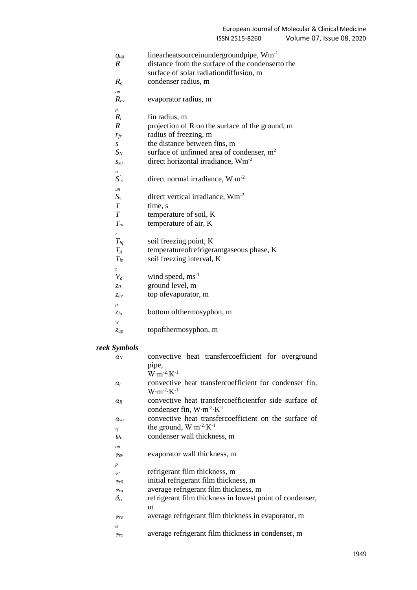| $q_{ug}$                     | linearheatsourceinundergroundpipe, Wm <sup>-1</sup>                                                    |
|------------------------------|--------------------------------------------------------------------------------------------------------|
| $\boldsymbol{R}$             | distance from the surface of the condenserto the                                                       |
|                              | surface of solar radiation diffusion, m                                                                |
| $R_c$                        | condenser radius, m                                                                                    |
| on                           |                                                                                                        |
| $R_{ev}$                     | evaporator radius, m                                                                                   |
| $\boldsymbol{p}$             |                                                                                                        |
| $R_r$                        | fin radius, m                                                                                          |
| $\boldsymbol{R}$             | projection of R on the surface of the ground, m                                                        |
| $r_f$                        | radius of freezing, m                                                                                  |
| S                            | the distance between fins, m                                                                           |
| $S_N$                        | surface of unfinned area of condenser, $m2$                                                            |
| $S_{\mathcal{S}\mathcal{U}}$ | direct horizontal irradiance, Wm <sup>-2</sup>                                                         |
| n<br>$S^{'}_{s}$             |                                                                                                        |
|                              | direct normal irradiance, $W m-2$                                                                      |
| un<br>$S_{\nu}$              | direct vertical irradiance, $Wm^{-2}$                                                                  |
| $\boldsymbol{T}$             | time, s                                                                                                |
| T                            | temperature of soil, K                                                                                 |
| $T_{ai}$                     | temperature of air, K                                                                                  |
| r                            |                                                                                                        |
| $T_{\textit{bf}}$            | soil freezing point, K                                                                                 |
| $T_{g}$                      | temperatureofrefrigerantgaseous phase, K                                                               |
| $T_{in}$                     | soil freezing interval, K                                                                              |
| $\mathfrak{t}$               |                                                                                                        |
| $V_a$                        | wind speed, $ms^{-1}$                                                                                  |
| $z_0$                        | ground level, m                                                                                        |
| Zev                          | top ofevaporator, m                                                                                    |
| $\boldsymbol{p}$             |                                                                                                        |
| $z_{lo}$                     | bottom of thermosyphon, m                                                                              |
| w                            |                                                                                                        |
| $\mathcal{Z}up$              | topofthermosyphon, m                                                                                   |
|                              |                                                                                                        |
| reek Symbols                 | convective heat transfercoefficient for overground                                                     |
| $\alpha_N$                   |                                                                                                        |
|                              | pipe,<br>$W·m-2·K-1$                                                                                   |
| $\alpha_r$                   | convective heat transfercoefficient for condenser fin,                                                 |
|                              | $W·m-2·K-1$                                                                                            |
| $\alpha_R$                   | convective heat transfercoefficientfor side surface of<br>condenser fin, $W \cdot m^{-2} \cdot K^{-1}$ |
| $a_{su}$                     | convective heat transfercoefficient on the surface of                                                  |
| rf                           | the ground, $W \cdot m^{-2} \cdot K^{-1}$                                                              |
| $\psi_c$                     | condenser wall thickness, m                                                                            |
| on                           |                                                                                                        |
|                              |                                                                                                        |

- *Ψev* evaporator wall thickness, m
- *p ψr* refrigerant film thickness, m
- *Ψr0* initial refrigerant film thickness, m
- *Ψra* average refrigerant film thickness, m
- *δrc* refrigerant film thickness in lowest point of condenser, m
- *Ψre* average refrigerant film thickness in evaporator, m
- *a Ψrc* average refrigerant film thickness in condenser, m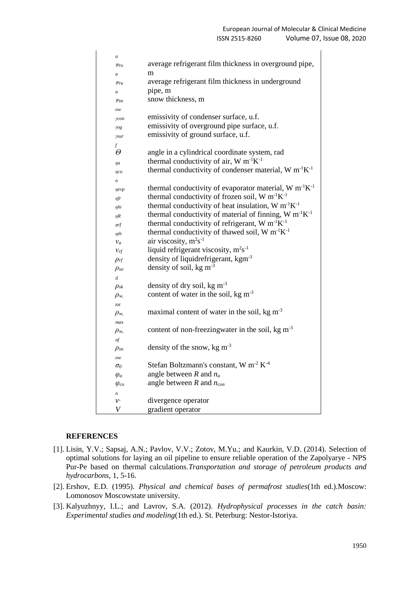| $\overline{a}$   |                                                                                |
|------------------|--------------------------------------------------------------------------------|
| $\psi_{ro}$      | average refrigerant film thickness in overground pipe,                         |
| $\overline{a}$   | m                                                                              |
| $\psi_{ru}$      | average refrigerant film thickness in underground                              |
| $\boldsymbol{a}$ | pipe, m                                                                        |
| $\psi_{sn}$      | snow thickness, m                                                              |
| OW               |                                                                                |
| $\gamma con$     | emissivity of condenser surface, u.f.                                          |
| yog              | emissivity of overground pipe surface, u.f.                                    |
| ysur             | emissivity of ground surface, u.f.                                             |
| $\int$           |                                                                                |
| Θ                | angle in a cylindrical coordinate system, rad                                  |
| ηa               | thermal conductivity of air, $W m^{-1}K^{-1}$                                  |
| $\eta$ co        | thermal conductivity of condenser material, $W m^{-1}K^{-1}$                   |
| n                |                                                                                |
| nevp             | thermal conductivity of evaporator material, W m <sup>-1</sup> K <sup>-1</sup> |
| ηfr              | thermal conductivity of frozen soil, $W m^{-1}K^{-1}$                          |
| ηhi              | thermal conductivity of heat insulation, $W m^{-1}K^{-1}$                      |
| $\eta R$         | thermal conductivity of material of finning, W m <sup>-1</sup> K <sup>-1</sup> |
| ηrf              | thermal conductivity of refrigerant, $W m^{-1}K^{-1}$                          |
| $\eta$ th        | thermal conductivity of thawed soil, $W m^{-1}K^{-1}$                          |
| $v_a$            | air viscosity, m <sup>2</sup> s <sup>-1</sup>                                  |
| $v_{rf}$         | liquid refrigerant viscosity, $m^2s^{-1}$                                      |
| $\rho$ rf        | density of liquidrefrigerant, kgm <sup>-3</sup>                                |
| $\rho_{so}$      | density of soil, kg $m^{-3}$                                                   |
| il               |                                                                                |
| $\rho_{sk}$      | density of dry soil, kg $m^{-3}$                                               |
| $\rho_{w}$       | content of water in the soil, kg $m^{-3}$                                      |
| tot              |                                                                                |
| $\rho_{w}$       | maximal content of water in the soil, $kg \, \text{m}^{-3}$                    |
| max              |                                                                                |
| $\rho_{w}$       | content of non-freezingwater in the soil, $kg \, \text{m}^{-3}$                |
| nf               |                                                                                |
| $\rho_{sn}$      | density of the snow, kg $m^{-3}$                                               |
| ow               |                                                                                |
| $\sigma_{0}$     | Stefan Boltzmann's constant, W m <sup>-2</sup> K <sup>-4</sup>                 |
| $\varphi_a$      | angle between $R$ and $n_a$                                                    |
| $\varphi_{co}$   | angle between $R$ and $n_{con}$                                                |
| n                |                                                                                |
| $v$ .            | divergence operator                                                            |
| V                | gradient operator                                                              |
|                  |                                                                                |

#### **REFERENCES**

- [1]. Lisin, Y.V.; Sapsaj, A.N.; Pavlov, V.V.; Zotov, M.Yu.; and Kaurkin, V.D. (2014). Selection of optimal solutions for laying an oil pipeline to ensure reliable operation of the Zapolyarye - NPS Pur-Pe based on thermal calculations.*Transportation and storage of petroleum products and hydrocarbons*, 1, 5-16.
- [2]. Ershov, E.D. (1995). *Physical and chemical bases of permafrost studies*(1th ed.).Moscow: Lomonosov Moscowstate university.
- [3]. Kalyuzhnyy, I.L.; and Lavrov, S.A. (2012). *Hydrophysical processes in the catch basin: Experimental studies and modeling*(1th ed.). St. Peterburg: Nestor-Istoriya.